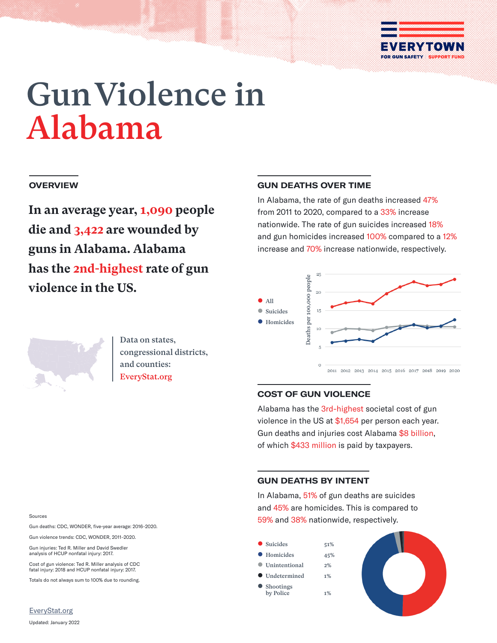

# Gun Violence in Alabama

## **OVERVIEW**

**In an average year, 1,090 people die and 3,422 are wounded by guns in Alabama. Alabama has the 2nd-highest rate of gun violence in the US.**

## **GUN DEATHS OVER TIME**

In Alabama, the rate of gun deaths increased 47% from 2011 to 2020, compared to a 33% increase nationwide. The rate of gun suicides increased 18% and gun homicides increased 100% compared to a 12% increase and 70% increase nationwide, respectively.



Data on states, congressional districts, and counties: EveryStat.org

## **COST OF GUN VIOLENCE**

Alabama has the 3rd-highest societal cost of gun violence in the US at \$1,654 per person each year. Gun deaths and injuries cost Alabama \$8 billion, of which \$433 million is paid by taxpayers.

## **GUN DEATHS BY INTENT**

In Alabama, 51% of gun deaths are suicides and 45% are homicides. This is compared to 59% and 38% nationwide, respectively.



#### Sources

Gun deaths: CDC, WONDER, five-year average: 2016–2020.

Gun violence trends: CDC, WONDER, 2011–2020.

Gun injuries: Ted R. Miller and David Swedler analysis of HCUP nonfatal injury: 2017.

Cost of gun violence: Ted R. Miller analysis of CDC fatal injury: 2018 and HCUP nonfatal injury: 2017.

Totals do not always sum to 100% due to rounding.

<EveryStat.org>